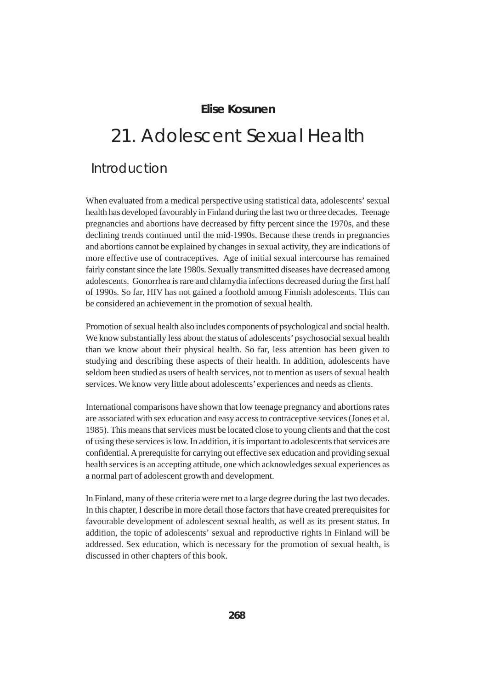### **Elise Kosunen**

# 21. Adolescent Sexual Health

### Introduction

When evaluated from a medical perspective using statistical data, adolescents' sexual health has developed favourably in Finland during the last two or three decades. Teenage pregnancies and abortions have decreased by fifty percent since the 1970s, and these declining trends continued until the mid-1990s. Because these trends in pregnancies and abortions cannot be explained by changes in sexual activity, they are indications of more effective use of contraceptives. Age of initial sexual intercourse has remained fairly constant since the late 1980s. Sexually transmitted diseases have decreased among adolescents. Gonorrhea is rare and chlamydia infections decreased during the first half of 1990s. So far, HIV has not gained a foothold among Finnish adolescents. This can be considered an achievement in the promotion of sexual health.

Promotion of sexual health also includes components of psychological and social health. We know substantially less about the status of adolescents' psychosocial sexual health than we know about their physical health. So far, less attention has been given to studying and describing these aspects of their health. In addition, adolescents have seldom been studied as users of health services, not to mention as users of sexual health services. We know very little about adolescents' experiences and needs as clients.

International comparisons have shown that low teenage pregnancy and abortions rates are associated with sex education and easy access to contraceptive services (Jones et al. 1985). This means that services must be located close to young clients and that the cost of using these services is low. In addition, it is important to adolescents that services are confidential. A prerequisite for carrying out effective sex education and providing sexual health services is an accepting attitude, one which acknowledges sexual experiences as a normal part of adolescent growth and development.

In Finland, many of these criteria were met to a large degree during the last two decades. In this chapter, I describe in more detail those factors that have created prerequisites for favourable development of adolescent sexual health, as well as its present status. In addition, the topic of adolescents' sexual and reproductive rights in Finland will be addressed. Sex education, which is necessary for the promotion of sexual health, is discussed in other chapters of this book.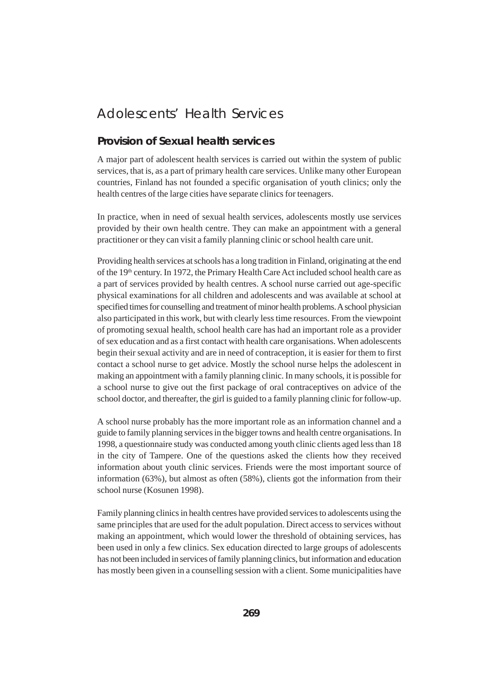# Adolescents' Health Services

### **Provision of Sexual health services**

A major part of adolescent health services is carried out within the system of public services, that is, as a part of primary health care services. Unlike many other European countries, Finland has not founded a specific organisation of youth clinics; only the health centres of the large cities have separate clinics for teenagers.

In practice, when in need of sexual health services, adolescents mostly use services provided by their own health centre. They can make an appointment with a general practitioner or they can visit a family planning clinic or school health care unit.

Providing health services at schools has a long tradition in Finland, originating at the end of the 19<sup>th</sup> century. In 1972, the Primary Health Care Act included school health care as a part of services provided by health centres. A school nurse carried out age-specific physical examinations for all children and adolescents and was available at school at specified times for counselling and treatment of minor health problems. A school physician also participated in this work, but with clearly less time resources. From the viewpoint of promoting sexual health, school health care has had an important role as a provider of sex education and as a first contact with health care organisations. When adolescents begin their sexual activity and are in need of contraception, it is easier for them to first contact a school nurse to get advice. Mostly the school nurse helps the adolescent in making an appointment with a family planning clinic. In many schools, it is possible for a school nurse to give out the first package of oral contraceptives on advice of the school doctor, and thereafter, the girl is guided to a family planning clinic for follow-up.

A school nurse probably has the more important role as an information channel and a guide to family planning services in the bigger towns and health centre organisations. In 1998, a questionnaire study was conducted among youth clinic clients aged less than 18 in the city of Tampere. One of the questions asked the clients how they received information about youth clinic services. Friends were the most important source of information (63%), but almost as often (58%), clients got the information from their school nurse (Kosunen 1998).

Family planning clinics in health centres have provided services to adolescents using the same principles that are used for the adult population. Direct access to services without making an appointment, which would lower the threshold of obtaining services, has been used in only a few clinics. Sex education directed to large groups of adolescents has not been included in services of family planning clinics, but information and education has mostly been given in a counselling session with a client. Some municipalities have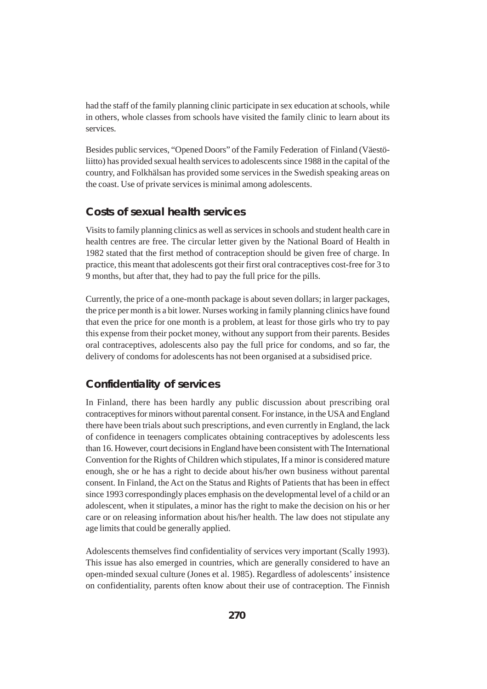had the staff of the family planning clinic participate in sex education at schools, while in others, whole classes from schools have visited the family clinic to learn about its services.

Besides public services, "Opened Doors" of the Family Federation of Finland (Väestöliitto) has provided sexual health services to adolescents since 1988 in the capital of the country, and Folkhälsan has provided some services in the Swedish speaking areas on the coast. Use of private services is minimal among adolescents.

### **Costs of sexual health services**

Visits to family planning clinics as well as services in schools and student health care in health centres are free. The circular letter given by the National Board of Health in 1982 stated that the first method of contraception should be given free of charge. In practice, this meant that adolescents got their first oral contraceptives cost-free for 3 to 9 months, but after that, they had to pay the full price for the pills.

Currently, the price of a one-month package is about seven dollars; in larger packages, the price per month is a bit lower. Nurses working in family planning clinics have found that even the price for one month is a problem, at least for those girls who try to pay this expense from their pocket money, without any support from their parents. Besides oral contraceptives, adolescents also pay the full price for condoms, and so far, the delivery of condoms for adolescents has not been organised at a subsidised price.

### **Confidentiality of services**

In Finland, there has been hardly any public discussion about prescribing oral contraceptives for minors without parental consent. For instance, in the USA and England there have been trials about such prescriptions, and even currently in England, the lack of confidence in teenagers complicates obtaining contraceptives by adolescents less than 16. However, court decisions in England have been consistent with The International Convention for the Rights of Children which stipulates, If a minor is considered mature enough, she or he has a right to decide about his/her own business without parental consent. In Finland, the Act on the Status and Rights of Patients that has been in effect since 1993 correspondingly places emphasis on the developmental level of a child or an adolescent, when it stipulates, a minor has the right to make the decision on his or her care or on releasing information about his/her health. The law does not stipulate any age limits that could be generally applied.

Adolescents themselves find confidentiality of services very important (Scally 1993). This issue has also emerged in countries, which are generally considered to have an open-minded sexual culture (Jones et al. 1985). Regardless of adolescents' insistence on confidentiality, parents often know about their use of contraception. The Finnish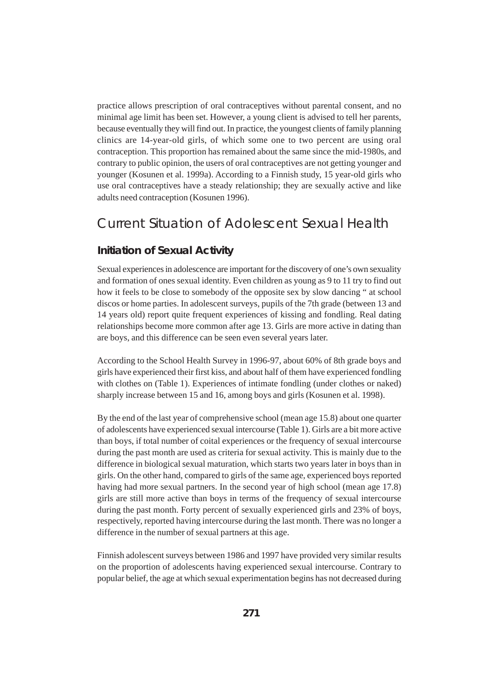practice allows prescription of oral contraceptives without parental consent, and no minimal age limit has been set. However, a young client is advised to tell her parents, because eventually they will find out. In practice, the youngest clients of family planning clinics are 14-year-old girls, of which some one to two percent are using oral contraception. This proportion has remained about the same since the mid-1980s, and contrary to public opinion, the users of oral contraceptives are not getting younger and younger (Kosunen et al. 1999a). According to a Finnish study, 15 year-old girls who use oral contraceptives have a steady relationship; they are sexually active and like adults need contraception (Kosunen 1996).

# Current Situation of Adolescent Sexual Health

### **Initiation of Sexual Activity**

Sexual experiences in adolescence are important for the discovery of one's own sexuality and formation of ones sexual identity. Even children as young as 9 to 11 try to find out how it feels to be close to somebody of the opposite sex by slow dancing " at school discos or home parties. In adolescent surveys, pupils of the 7th grade (between 13 and 14 years old) report quite frequent experiences of kissing and fondling. Real dating relationships become more common after age 13. Girls are more active in dating than are boys, and this difference can be seen even several years later.

According to the School Health Survey in 1996-97, about 60% of 8th grade boys and girls have experienced their first kiss, and about half of them have experienced fondling with clothes on (Table 1). Experiences of intimate fondling (under clothes or naked) sharply increase between 15 and 16, among boys and girls (Kosunen et al. 1998).

By the end of the last year of comprehensive school (mean age 15.8) about one quarter of adolescents have experienced sexual intercourse (Table 1). Girls are a bit more active than boys, if total number of coital experiences or the frequency of sexual intercourse during the past month are used as criteria for sexual activity. This is mainly due to the difference in biological sexual maturation, which starts two years later in boys than in girls. On the other hand, compared to girls of the same age, experienced boys reported having had more sexual partners. In the second year of high school (mean age 17.8) girls are still more active than boys in terms of the frequency of sexual intercourse during the past month. Forty percent of sexually experienced girls and 23% of boys, respectively, reported having intercourse during the last month. There was no longer a difference in the number of sexual partners at this age.

Finnish adolescent surveys between 1986 and 1997 have provided very similar results on the proportion of adolescents having experienced sexual intercourse. Contrary to popular belief, the age at which sexual experimentation begins has not decreased during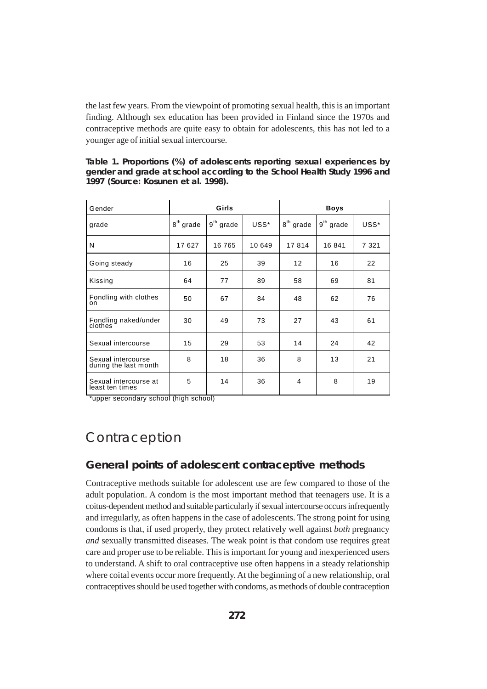the last few years. From the viewpoint of promoting sexual health, this is an important finding. Although sex education has been provided in Finland since the 1970s and contraceptive methods are quite easy to obtain for adolescents, this has not led to a younger age of initial sexual intercourse.

**Table 1. Proportions (%) of adolescents reporting sexual experiences by gender and grade at school according to the School Health Study 1996 and 1997 (Source: Kosunen et al. 1998).**

| Gender                                      | Girls          |             | <b>Boys</b> |                |             |         |
|---------------------------------------------|----------------|-------------|-------------|----------------|-------------|---------|
| grade                                       | $8^{th}$ grade | $9th$ grade | USS*        | $8^{th}$ grade | $9th$ grade | USS*    |
| N                                           | 17 627         | 16 765      | 10 649      | 17814          | 16 841      | 7 3 2 1 |
| Going steady                                | 16             | 25          | 39          | 12             | 16          | 22      |
| Kissing                                     | 64             | 77          | 89          | 58             | 69          | 81      |
| Fondling with clothes<br>on                 | 50             | 67          | 84          | 48             | 62          | 76      |
| Fondling naked/under<br>clothes             | 30             | 49          | 73          | 27             | 43          | 61      |
| Sexual intercourse                          | 15             | 29          | 53          | 14             | 24          | 42      |
| Sexual intercourse<br>during the last month | 8              | 18          | 36          | 8              | 13          | 21      |
| Sexual intercourse at<br>least ten times    | 5              | 14          | 36          | 4              | 8           | 19      |

\*upper secondary school (high school)

# Contraception

### **General points of adolescent contraceptive methods**

Contraceptive methods suitable for adolescent use are few compared to those of the adult population. A condom is the most important method that teenagers use. It is a coitus-dependent method and suitable particularly if sexual intercourse occurs infrequently and irregularly, as often happens in the case of adolescents. The strong point for using condoms is that, if used properly, they protect relatively well against *both* pregnancy *and* sexually transmitted diseases. The weak point is that condom use requires great care and proper use to be reliable. This is important for young and inexperienced users to understand. A shift to oral contraceptive use often happens in a steady relationship where coital events occur more frequently. At the beginning of a new relationship, oral contraceptives should be used together with condoms, as methods of double contraception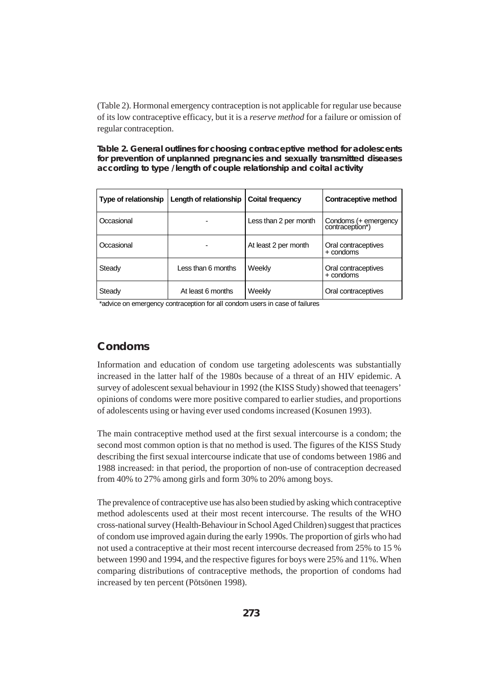(Table 2). Hormonal emergency contraception is not applicable for regular use because of its low contraceptive efficacy, but it is a *reserve method* for a failure or omission of regular contraception.

**Table 2. General outlines for choosing contraceptive method for adolescents for prevention of unplanned pregnancies and sexually transmitted diseases according to type /length of couple relationship and coital activity**

| Type of relationship | Length of relationship | <b>Coital frequency</b> | Contraceptive method                    |
|----------------------|------------------------|-------------------------|-----------------------------------------|
| Occasional           |                        | Less than 2 per month   | Condoms (+ emergency<br>contraception*) |
| Occasional           |                        | At least 2 per month    | Oral contraceptives<br>+ condoms        |
| Steady               | Less than 6 months     | Weekly                  | Oral contraceptives<br>+ condoms        |
| Steady               | At least 6 months      | Weekly                  | Oral contraceptives                     |

\*advice on emergency contraception for all condom users in case of failures

### **Condoms**

Information and education of condom use targeting adolescents was substantially increased in the latter half of the 1980s because of a threat of an HIV epidemic. A survey of adolescent sexual behaviour in 1992 (the KISS Study) showed that teenagers' opinions of condoms were more positive compared to earlier studies, and proportions of adolescents using or having ever used condoms increased (Kosunen 1993).

The main contraceptive method used at the first sexual intercourse is a condom; the second most common option is that no method is used. The figures of the KISS Study describing the first sexual intercourse indicate that use of condoms between 1986 and 1988 increased: in that period, the proportion of non-use of contraception decreased from 40% to 27% among girls and form 30% to 20% among boys.

The prevalence of contraceptive use has also been studied by asking which contraceptive method adolescents used at their most recent intercourse. The results of the WHO cross-national survey (Health-Behaviour in School Aged Children) suggest that practices of condom use improved again during the early 1990s. The proportion of girls who had not used a contraceptive at their most recent intercourse decreased from 25% to 15 % between 1990 and 1994, and the respective figures for boys were 25% and 11%. When comparing distributions of contraceptive methods, the proportion of condoms had increased by ten percent (Pötsönen 1998).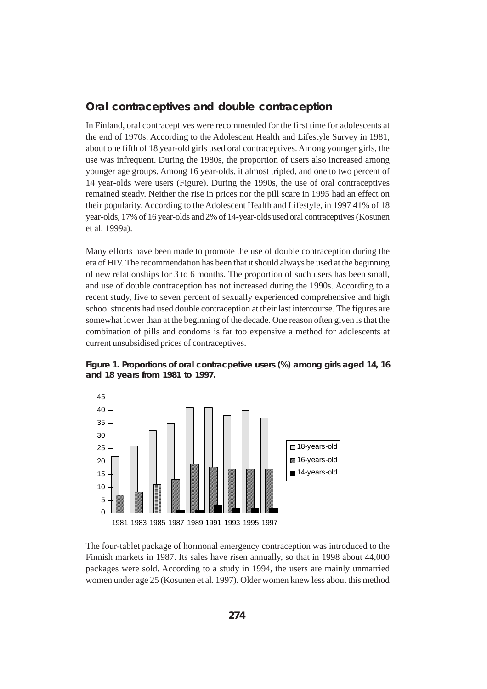### **Oral contraceptives and double contraception**

In Finland, oral contraceptives were recommended for the first time for adolescents at the end of 1970s. According to the Adolescent Health and Lifestyle Survey in 1981, about one fifth of 18 year-old girls used oral contraceptives. Among younger girls, the use was infrequent. During the 1980s, the proportion of users also increased among younger age groups. Among 16 year-olds, it almost tripled, and one to two percent of 14 year-olds were users (Figure). During the 1990s, the use of oral contraceptives remained steady. Neither the rise in prices nor the pill scare in 1995 had an effect on their popularity. According to the Adolescent Health and Lifestyle, in 1997 41% of 18 year-olds, 17% of 16 year-olds and 2% of 14-year-olds used oral contraceptives (Kosunen et al. 1999a).

Many efforts have been made to promote the use of double contraception during the era of HIV. The recommendation has been that it should always be used at the beginning of new relationships for 3 to 6 months. The proportion of such users has been small, and use of double contraception has not increased during the 1990s. According to a recent study, five to seven percent of sexually experienced comprehensive and high school students had used double contraception at their last intercourse. The figures are somewhat lower than at the beginning of the decade. One reason often given is that the combination of pills and condoms is far too expensive a method for adolescents at current unsubsidised prices of contraceptives.





The four-tablet package of hormonal emergency contraception was introduced to the Finnish markets in 1987. Its sales have risen annually, so that in 1998 about 44,000 packages were sold. According to a study in 1994, the users are mainly unmarried women under age 25 (Kosunen et al. 1997). Older women knew less about this method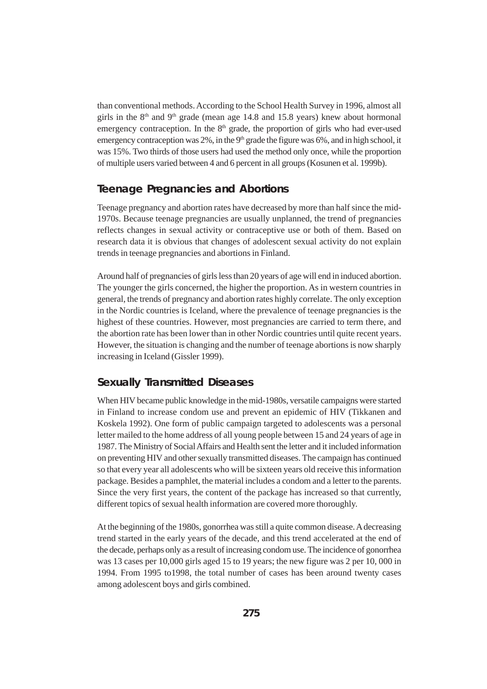than conventional methods. According to the School Health Survey in 1996, almost all girls in the  $8<sup>th</sup>$  and  $9<sup>th</sup>$  grade (mean age 14.8 and 15.8 years) knew about hormonal emergency contraception. In the  $8<sup>th</sup>$  grade, the proportion of girls who had ever-used emergency contraception was 2%, in the 9<sup>th</sup> grade the figure was 6%, and in high school, it was 15%. Two thirds of those users had used the method only once, while the proportion of multiple users varied between 4 and 6 percent in all groups (Kosunen et al. 1999b).

### **Teenage Pregnancies and Abortions**

Teenage pregnancy and abortion rates have decreased by more than half since the mid-1970s. Because teenage pregnancies are usually unplanned, the trend of pregnancies reflects changes in sexual activity or contraceptive use or both of them. Based on research data it is obvious that changes of adolescent sexual activity do not explain trends in teenage pregnancies and abortions in Finland.

Around half of pregnancies of girls less than 20 years of age will end in induced abortion. The younger the girls concerned, the higher the proportion. As in western countries in general, the trends of pregnancy and abortion rates highly correlate. The only exception in the Nordic countries is Iceland, where the prevalence of teenage pregnancies is the highest of these countries. However, most pregnancies are carried to term there, and the abortion rate has been lower than in other Nordic countries until quite recent years. However, the situation is changing and the number of teenage abortions is now sharply increasing in Iceland (Gissler 1999).

### **Sexually Transmitted Diseases**

When HIV became public knowledge in the mid-1980s, versatile campaigns were started in Finland to increase condom use and prevent an epidemic of HIV (Tikkanen and Koskela 1992). One form of public campaign targeted to adolescents was a personal letter mailed to the home address of all young people between 15 and 24 years of age in 1987. The Ministry of Social Affairs and Health sent the letter and it included information on preventing HIV and other sexually transmitted diseases. The campaign has continued so that every year all adolescents who will be sixteen years old receive this information package. Besides a pamphlet, the material includes a condom and a letter to the parents. Since the very first years, the content of the package has increased so that currently, different topics of sexual health information are covered more thoroughly.

At the beginning of the 1980s, gonorrhea was still a quite common disease. A decreasing trend started in the early years of the decade, and this trend accelerated at the end of the decade, perhaps only as a result of increasing condom use. The incidence of gonorrhea was 13 cases per 10,000 girls aged 15 to 19 years; the new figure was 2 per 10, 000 in 1994. From 1995 to1998, the total number of cases has been around twenty cases among adolescent boys and girls combined.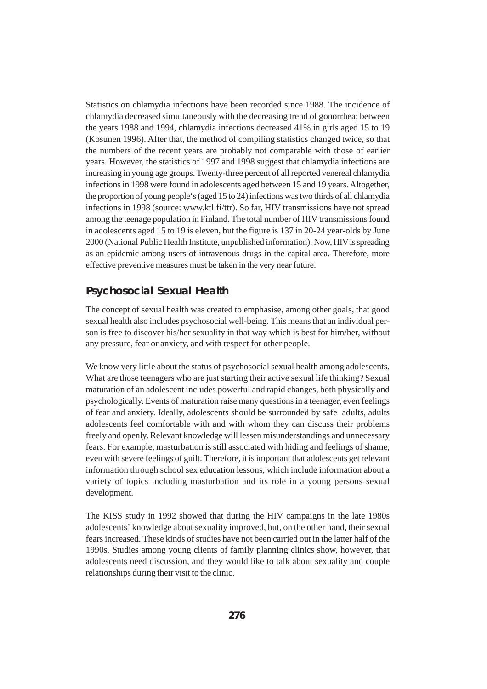Statistics on chlamydia infections have been recorded since 1988. The incidence of chlamydia decreased simultaneously with the decreasing trend of gonorrhea: between the years 1988 and 1994, chlamydia infections decreased 41% in girls aged 15 to 19 (Kosunen 1996). After that, the method of compiling statistics changed twice, so that the numbers of the recent years are probably not comparable with those of earlier years. However, the statistics of 1997 and 1998 suggest that chlamydia infections are increasing in young age groups. Twenty-three percent of all reported venereal chlamydia infections in 1998 were found in adolescents aged between 15 and 19 years. Altogether, the proportion of young people's (aged 15 to 24) infections was two thirds of all chlamydia infections in 1998 (source: www.ktl.fi/ttr). So far, HIV transmissions have not spread among the teenage population in Finland. The total number of HIV transmissions found in adolescents aged 15 to 19 is eleven, but the figure is 137 in 20-24 year-olds by June 2000 (National Public Health Institute, unpublished information). Now, HIV is spreading as an epidemic among users of intravenous drugs in the capital area. Therefore, more effective preventive measures must be taken in the very near future.

### **Psychosocial Sexual Health**

The concept of sexual health was created to emphasise, among other goals, that good sexual health also includes psychosocial well-being. This means that an individual person is free to discover his/her sexuality in that way which is best for him/her, without any pressure, fear or anxiety, and with respect for other people.

We know very little about the status of psychosocial sexual health among adolescents. What are those teenagers who are just starting their active sexual life thinking? Sexual maturation of an adolescent includes powerful and rapid changes, both physically and psychologically. Events of maturation raise many questions in a teenager, even feelings of fear and anxiety. Ideally, adolescents should be surrounded by safe adults, adults adolescents feel comfortable with and with whom they can discuss their problems freely and openly. Relevant knowledge will lessen misunderstandings and unnecessary fears. For example, masturbation is still associated with hiding and feelings of shame, even with severe feelings of guilt. Therefore, it is important that adolescents get relevant information through school sex education lessons, which include information about a variety of topics including masturbation and its role in a young persons sexual development.

The KISS study in 1992 showed that during the HIV campaigns in the late 1980s adolescents' knowledge about sexuality improved, but, on the other hand, their sexual fears increased. These kinds of studies have not been carried out in the latter half of the 1990s. Studies among young clients of family planning clinics show, however, that adolescents need discussion, and they would like to talk about sexuality and couple relationships during their visit to the clinic.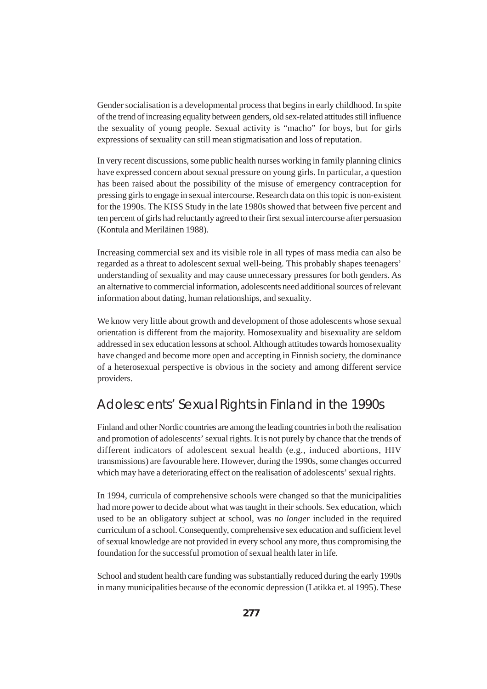Gender socialisation is a developmental process that begins in early childhood. In spite of the trend of increasing equality between genders, old sex-related attitudes still influence the sexuality of young people. Sexual activity is "macho" for boys, but for girls expressions of sexuality can still mean stigmatisation and loss of reputation.

In very recent discussions, some public health nurses working in family planning clinics have expressed concern about sexual pressure on young girls. In particular, a question has been raised about the possibility of the misuse of emergency contraception for pressing girls to engage in sexual intercourse. Research data on this topic is non-existent for the 1990s. The KISS Study in the late 1980s showed that between five percent and ten percent of girls had reluctantly agreed to their first sexual intercourse after persuasion (Kontula and Meriläinen 1988).

Increasing commercial sex and its visible role in all types of mass media can also be regarded as a threat to adolescent sexual well-being. This probably shapes teenagers' understanding of sexuality and may cause unnecessary pressures for both genders. As an alternative to commercial information, adolescents need additional sources of relevant information about dating, human relationships, and sexuality.

We know very little about growth and development of those adolescents whose sexual orientation is different from the majority. Homosexuality and bisexuality are seldom addressed in sex education lessons at school. Although attitudes towards homosexuality have changed and become more open and accepting in Finnish society, the dominance of a heterosexual perspective is obvious in the society and among different service providers.

## Adolescents' Sexual Rights in Finland in the 1990s

Finland and other Nordic countries are among the leading countries in both the realisation and promotion of adolescents' sexual rights. It is not purely by chance that the trends of different indicators of adolescent sexual health (e.g., induced abortions, HIV transmissions) are favourable here. However, during the 1990s, some changes occurred which may have a deteriorating effect on the realisation of adolescents' sexual rights.

In 1994, curricula of comprehensive schools were changed so that the municipalities had more power to decide about what was taught in their schools. Sex education, which used to be an obligatory subject at school, was *no longer* included in the required curriculum of a school. Consequently, comprehensive sex education and sufficient level of sexual knowledge are not provided in every school any more, thus compromising the foundation for the successful promotion of sexual health later in life.

School and student health care funding was substantially reduced during the early 1990s in many municipalities because of the economic depression (Latikka et. al 1995). These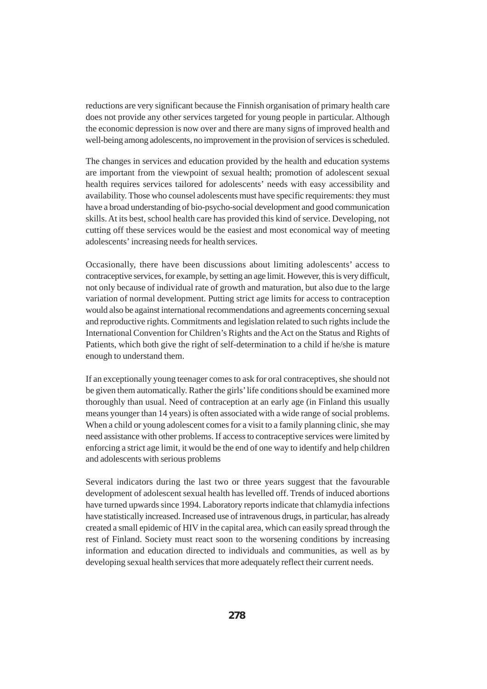reductions are very significant because the Finnish organisation of primary health care does not provide any other services targeted for young people in particular. Although the economic depression is now over and there are many signs of improved health and well-being among adolescents, no improvement in the provision of services is scheduled.

The changes in services and education provided by the health and education systems are important from the viewpoint of sexual health; promotion of adolescent sexual health requires services tailored for adolescents' needs with easy accessibility and availability. Those who counsel adolescents must have specific requirements: they must have a broad understanding of bio-psycho-social development and good communication skills. At its best, school health care has provided this kind of service. Developing, not cutting off these services would be the easiest and most economical way of meeting adolescents' increasing needs for health services.

Occasionally, there have been discussions about limiting adolescents' access to contraceptive services, for example, by setting an age limit. However, this is very difficult, not only because of individual rate of growth and maturation, but also due to the large variation of normal development. Putting strict age limits for access to contraception would also be against international recommendations and agreements concerning sexual and reproductive rights. Commitments and legislation related to such rights include the International Convention for Children's Rights and the Act on the Status and Rights of Patients, which both give the right of self-determination to a child if he/she is mature enough to understand them.

If an exceptionally young teenager comes to ask for oral contraceptives, she should not be given them automatically. Rather the girls' life conditions should be examined more thoroughly than usual. Need of contraception at an early age (in Finland this usually means younger than 14 years) is often associated with a wide range of social problems. When a child or young adolescent comes for a visit to a family planning clinic, she may need assistance with other problems. If access to contraceptive services were limited by enforcing a strict age limit, it would be the end of one way to identify and help children and adolescents with serious problems

Several indicators during the last two or three years suggest that the favourable development of adolescent sexual health has levelled off. Trends of induced abortions have turned upwards since 1994. Laboratory reports indicate that chlamydia infections have statistically increased. Increased use of intravenous drugs, in particular, has already created a small epidemic of HIV in the capital area, which can easily spread through the rest of Finland. Society must react soon to the worsening conditions by increasing information and education directed to individuals and communities, as well as by developing sexual health services that more adequately reflect their current needs.